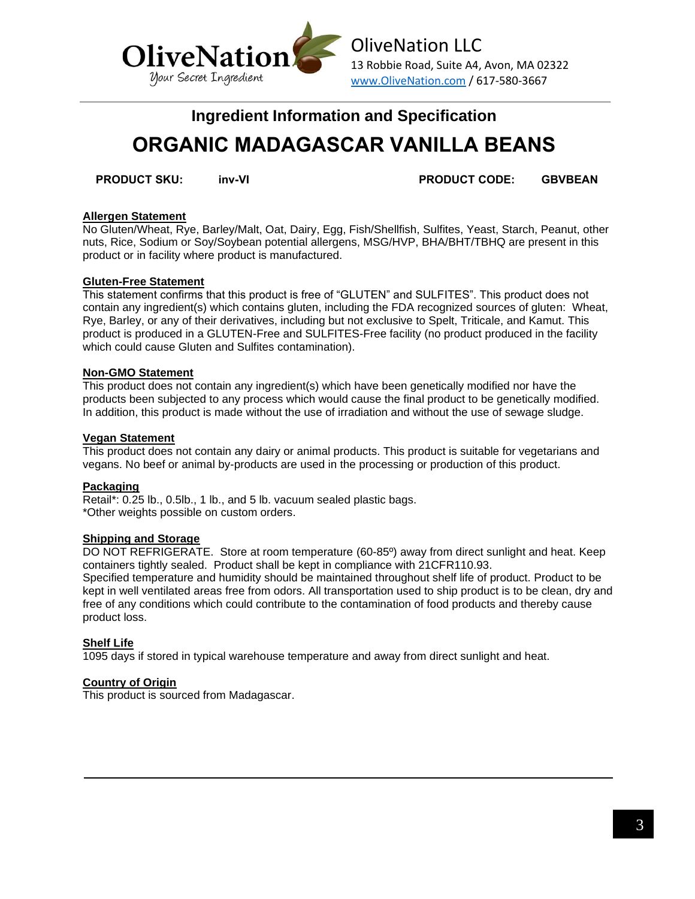

# **Ingredient Information and Specification ORGANIC MADAGASCAR VANILLA BEANS**

**PRODUCT SKU: inv-VI PRODUCT CODE: GBVBEAN**

### **Allergen Statement**

No Gluten/Wheat, Rye, Barley/Malt, Oat, Dairy, Egg, Fish/Shellfish, Sulfites, Yeast, Starch, Peanut, other nuts, Rice, Sodium or Soy/Soybean potential allergens, MSG/HVP, BHA/BHT/TBHQ are present in this product or in facility where product is manufactured.

### **Gluten-Free Statement**

This statement confirms that this product is free of "GLUTEN" and SULFITES". This product does not contain any ingredient(s) which contains gluten, including the FDA recognized sources of gluten: Wheat, Rye, Barley, or any of their derivatives, including but not exclusive to Spelt, Triticale, and Kamut. This product is produced in a GLUTEN-Free and SULFITES-Free facility (no product produced in the facility which could cause Gluten and Sulfites contamination).

#### **Non-GMO Statement**

This product does not contain any ingredient(s) which have been genetically modified nor have the products been subjected to any process which would cause the final product to be genetically modified. In addition, this product is made without the use of irradiation and without the use of sewage sludge.

### **Vegan Statement**

This product does not contain any dairy or animal products. This product is suitable for vegetarians and vegans. No beef or animal by-products are used in the processing or production of this product.

### **Packaging**

Retail\*: 0.25 lb., 0.5lb., 1 lb., and 5 lb. vacuum sealed plastic bags. \*Other weights possible on custom orders.

### **Shipping and Storage**

DO NOT REFRIGERATE. Store at room temperature (60-85º) away from direct sunlight and heat. Keep containers tightly sealed. Product shall be kept in compliance with 21CFR110.93. Specified temperature and humidity should be maintained throughout shelf life of product. Product to be kept in well ventilated areas free from odors. All transportation used to ship product is to be clean, dry and free of any conditions which could contribute to the contamination of food products and thereby cause product loss.

### **Shelf Life**

1095 days if stored in typical warehouse temperature and away from direct sunlight and heat.

### **Country of Origin**

This product is sourced from Madagascar.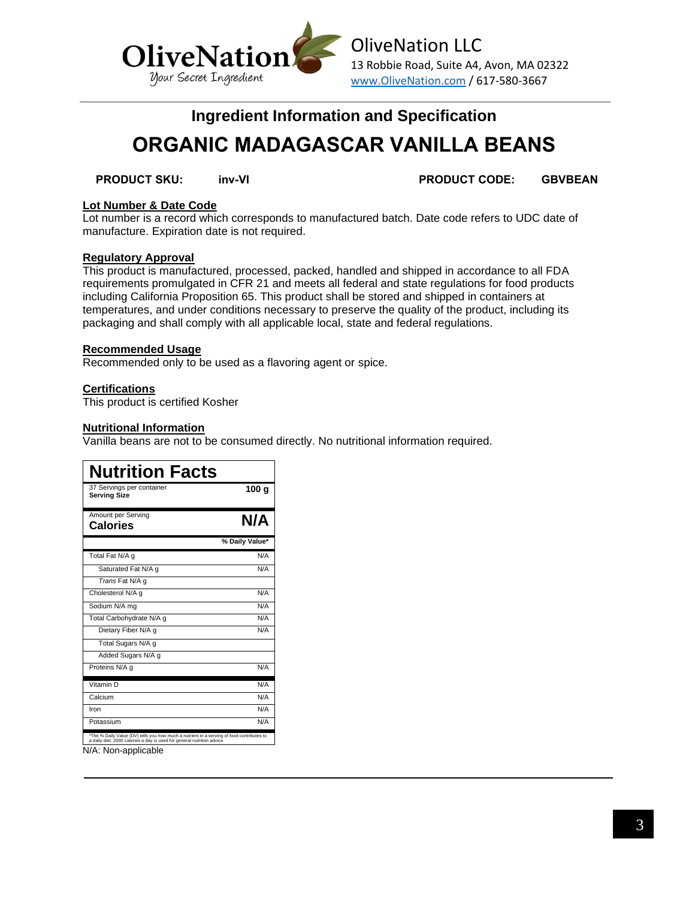

## **Ingredient Information and Specification ORGANIC MADAGASCAR VANILLA BEANS**

**PRODUCT SKU: inv-VI PRODUCT CODE: GBVBEAN**

#### **Lot Number & Date Code**

Lot number is a record which corresponds to manufactured batch. Date code refers to UDC date of manufacture. Expiration date is not required.

#### **Regulatory Approval**

This product is manufactured, processed, packed, handled and shipped in accordance to all FDA requirements promulgated in CFR 21 and meets all federal and state regulations for food products including California Proposition 65. This product shall be stored and shipped in containers at temperatures, and under conditions necessary to preserve the quality of the product, including its packaging and shall comply with all applicable local, state and federal regulations.

#### **Recommended Usage**

Recommended only to be used as a flavoring agent or spice.

#### **Certifications**

This product is certified Kosher

#### **Nutritional Information**

Vanilla beans are not to be consumed directly. No nutritional information required.

| <b>Nutrition Facts</b>                                                                                                                                               |                |
|----------------------------------------------------------------------------------------------------------------------------------------------------------------------|----------------|
| 37 Servings per container<br><b>Serving Size</b>                                                                                                                     | 100 g          |
| Amount per Serving<br><b>Calories</b>                                                                                                                                | N/A            |
|                                                                                                                                                                      | % Daily Value* |
| Total Fat N/A q                                                                                                                                                      | N/A            |
| Saturated Fat N/A q                                                                                                                                                  | N/A            |
| Trans Fat N/A q                                                                                                                                                      |                |
| Cholesterol N/A q                                                                                                                                                    | N/A            |
| Sodium N/A mg                                                                                                                                                        | N/A            |
| Total Carbohydrate N/A q                                                                                                                                             | N/A            |
| Dietary Fiber N/A g                                                                                                                                                  | N/A            |
| Total Sugars N/A g                                                                                                                                                   |                |
| Added Sugars N/A g                                                                                                                                                   |                |
| Proteins N/A g                                                                                                                                                       | N/A            |
| Vitamin D                                                                                                                                                            | N/A            |
| Calcium                                                                                                                                                              | N/A            |
| Iron                                                                                                                                                                 | N/A            |
| Potassium                                                                                                                                                            | N/A            |
| *The % Daily Value (DV) tells you how much a nutrient in a serving of food contributes to<br>a daily diet. 2000 calories a day is used for general nutrition advice. |                |
| N/A: Non-applicable                                                                                                                                                  |                |